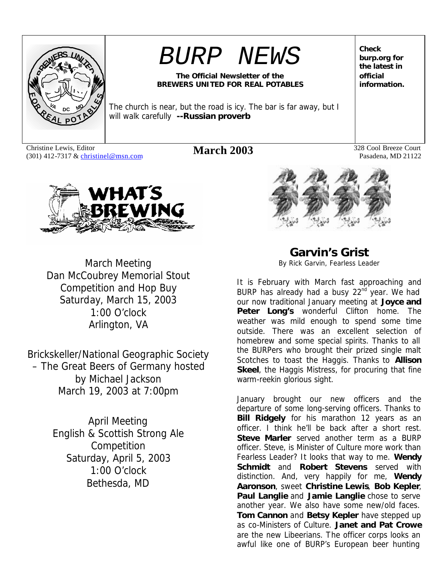

# *BURP NEWS*

#### **The Official Newsletter of the BREWERS UNITED FOR REAL POTABLES**

The church is near, but the road is icy. The bar is far away, but I will walk carefully **--Russian proverb**

Christine Lewis, Editor Christine Lewis, Editor **March 2003** 328 Cool Breeze Court (301) 412-7317 & christinel@msn.com **March 2003** 328 Cool Breeze Court

**Check burp.org for the latest in official information.**

Pasadena, MD 21122



March Meeting Dan McCoubrey Memorial Stout Competition and Hop Buy Saturday, March 15, 2003 1:00 O'clock Arlington, VA

Brickskeller/National Geographic Society – The Great Beers of Germany hosted by Michael Jackson March 19, 2003 at 7:00pm

> April Meeting English & Scottish Strong Ale Competition Saturday, April 5, 2003 1:00 O'clock Bethesda, MD



**Garvin's Grist** *By Rick Garvin, Fearless Leader*

It is February with March fast approaching and BURP has already had a busy 22<sup>nd</sup> year. We had our now traditional January meeting at **Joyce and Peter Long's** wonderful Clifton home. The weather was mild enough to spend some time outside. There was an excellent selection of homebrew and some special spirits. Thanks to all the BURPers who brought their prized single malt Scotches to toast the Haggis. Thanks to **Allison Skeel**, the Haggis Mistress, for procuring that fine warm-reekin glorious sight.

January brought our new officers and the departure of some long-serving officers. Thanks to **Bill Ridgely** for his marathon 12 years as an officer. I think he'll be back after a short rest. **Steve Marler** served another term as a BURP officer. Steve, is Minister of Culture more work than Fearless Leader? It looks that way to me. **Wendy Schmidt** and **Robert Stevens** served with distinction. And, very happily for me, **Wendy Aaronson**, sweet **Christine Lewis**, **Bob Kepler**, **Paul Langlie** and **Jamie Langlie** chose to serve another year. We also have some new/old faces. **Tom Cannon** and **Betsy Kepler** have stepped up as co-Ministers of Culture. **Janet and Pat Crowe** are the new Libeerians. The officer corps looks an awful like one of BURP's European beer hunting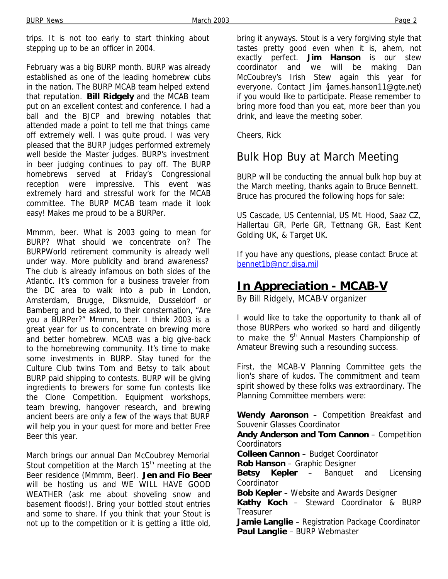trips. It is not too early to start thinking about stepping up to be an officer in 2004.

February was a big BURP month. BURP was already established as one of the leading homebrew clubs in the nation. The BURP MCAB team helped extend that reputation. **Bill Ridgely** and the MCAB team put on an excellent contest and conference. I had a ball and the BJCP and brewing notables that attended made a point to tell me that things came off extremely well. I was quite proud. I was very pleased that the BURP judges performed extremely well beside the Master judges. BURP's investment in beer judging continues to pay off. The BURP homebrews served at Friday's Congressional reception were impressive. This event was extremely hard and stressful work for the MCAB committee. The BURP MCAB team made it look easy! Makes me proud to be a BURPer.

Mmmm, beer. What is 2003 going to mean for BURP? What should we concentrate on? The BURPWorld retirement community is already well under way. More publicity and brand awareness? The club is already infamous on both sides of the Atlantic. It's common for a business traveler from the DC area to walk into a pub in London, Amsterdam, Brugge, Diksmuide, Dusseldorf or Bamberg and be asked, to their consternation, "Are you a BURPer?" Mmmm, beer. I think 2003 is a great year for us to concentrate on brewing more and better homebrew. MCAB was a big give-back to the homebrewing community. It's time to make some investments in BURP. Stay tuned for the Culture Club twins Tom and Betsy to talk about BURP paid shipping to contests. BURP will be giving ingredients to brewers for some fun contests like the Clone Competition. Equipment workshops, team brewing, hangover research, and brewing ancient beers are only a few of the ways that BURP will help you in your quest for more and better Free Beer this year.

March brings our annual Dan McCoubrey Memorial Stout competition at the March 15<sup>th</sup> meeting at the Beer residence (Mmmm, Beer). **Jen and Fio Beer** will be hosting us and WE WILL HAVE GOOD WEATHER (ask me about shoveling snow and basement floods!). Bring your bottled stout entries and some to share. If you think that your Stout is not up to the competition or it is getting a little old,

bring it anyways. Stout is a very forgiving style that tastes pretty good even when it is, ahem, not exactly perfect. **Jim Hanson** is our stew coordinator and we will be making Dan McCoubrey's Irish Stew again this year for everyone. Contact Jim (james.hanson11@gte.net) if you would like to participate. Please remember to bring more food than you eat, more beer than you drink, and leave the meeting sober.

Cheers, Rick

# Bulk Hop Buy at March Meeting

BURP will be conducting the annual bulk hop buy at the March meeting, thanks again to Bruce Bennett. Bruce has procured the following hops for sale:

US Cascade, US Centennial, US Mt. Hood, Saaz CZ, Hallertau GR, Perle GR, Tettnang GR, East Kent Golding UK, & Target UK.

If you have any questions, please contact Bruce at bennet1b@ncr.disa.mil

# **In Appreciation - MCAB-V**

*By Bill Ridgely, MCAB-V organizer*

I would like to take the opportunity to thank all of those BURPers who worked so hard and diligently to make the  $5<sup>th</sup>$  Annual Masters Championship of Amateur Brewing such a resounding success.

First, the MCAB-V Planning Committee gets the lion's share of kudos. The commitment and team spirit showed by these folks was extraordinary. The Planning Committee members were:

**Wendy Aaronson** – Competition Breakfast and Souvenir Glasses Coordinator

**Andy Anderson and Tom Cannon** – Competition **Coordinators** 

**Colleen Cannon** – Budget Coordinator

**Rob Hanson** – Graphic Designer

**Betsy Kepler** – Banquet and Licensing Coordinator

**Bob Kepler** – Website and Awards Designer

**Kathy Koch** – Steward Coordinator & BURP **Treasurer** 

**Jamie Langlie** – Registration Package Coordinator **Paul Langlie** – BURP Webmaster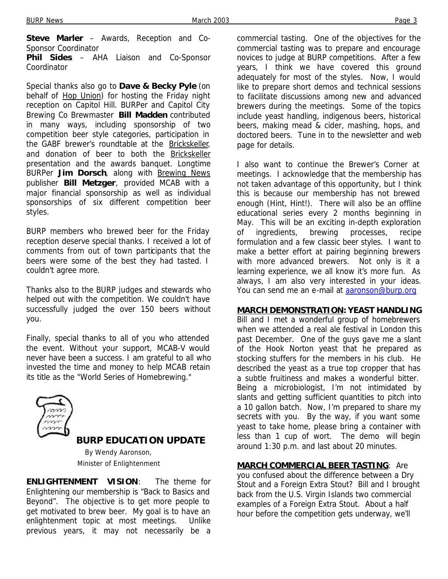**Steve Marler** – Awards, Reception and Co-Sponsor Coordinator

**Phil Sides** – AHA Liaison and Co-Sponsor Coordinator

Special thanks also go to **Dave & Becky Pyle** (on behalf of Hop Union) for hosting the Friday night reception on Capitol Hill. BURPer and Capitol City Brewing Co Brewmaster **Bill Madden** contributed in many ways, including sponsorship of two competition beer style categories, participation in the GABF brewer's roundtable at the Brickskeller, and donation of beer to both the Brickskeller presentation and the awards banquet. Longtime BURPer **Jim Dorsch**, along with **Brewing News** publisher **Bill Metzger**, provided MCAB with a major financial sponsorship as well as individual sponsorships of six different competition beer styles.

BURP members who brewed beer for the Friday reception deserve special thanks. I received a lot of comments from out of town participants that the beers were some of the best they had tasted. I couldn't agree more.

Thanks also to the BURP judges and stewards who helped out with the competition. We couldn't have successfully judged the over 150 beers without you.

Finally, special thanks to all of you who attended the event. Without your support, MCAB-V would never have been a success. I am grateful to all who invested the time and money to help MCAB retain its title as the "World Series of Homebrewing."



### **BURP EDUCATION UPDATE**

*By Wendy Aaronson, Minister of Enlightenment*

**ENLIGHTENMENT VISION**: The theme for Enlightening our membership is "Back to Basics and Beyond". The objective is to get more people to get motivated to brew beer. My goal is to have an enlightenment topic at most meetings. Unlike previous years, it may not necessarily be a commercial tasting. One of the objectives for the commercial tasting was to prepare and encourage novices to judge at BURP competitions. After a few years, I think we have covered this ground adequately for most of the styles. Now, I would like to prepare short demos and technical sessions to facilitate discussions among new and advanced brewers during the meetings. Some of the topics include yeast handling, indigenous beers, historical beers, making mead & cider, mashing, hops, and doctored beers. Tune in to the newsletter and web page for details.

I also want to continue the Brewer's Corner at meetings. I acknowledge that the membership has not taken advantage of this opportunity, but I think this is because our membership has not brewed enough (Hint, Hint!). There will also be an offline educational series every 2 months beginning in May. This will be an exciting in-depth exploration of ingredients, brewing processes, recipe formulation and a few classic beer styles. I want to make a better effort at pairing beginning brewers with more advanced brewers. Not only is it a learning experience, we all know it's more fun. As always, I am also very interested in your ideas. You can send me an e-mail at aaronson@burp.org

#### **MARCH DEMONSTRATION: YEAST HANDLING**

Bill and I met a wonderful group of homebrewers when we attended a real ale festival in London this past December. One of the guys gave me a slant of the Hook Norton yeast that he prepared as stocking stuffers for the members in his club. He described the yeast as a true top cropper that has a subtle fruitiness and makes a wonderful bitter. Being a microbiologist, I'm not intimidated by slants and getting sufficient quantities to pitch into a 10 gallon batch. Now, I'm prepared to share my secrets with you. By the way, if you want some yeast to take home, please bring a container with less than 1 cup of wort. The demo will begin around 1:30 p.m. and last about 20 minutes.

#### **MARCH COMMERCIAL BEER TASTING**: Are

you confused about the difference between a Dry Stout and a Foreign Extra Stout? Bill and I brought back from the U.S. Virgin Islands two commercial examples of a Foreign Extra Stout. About a half hour before the competition gets underway, we'll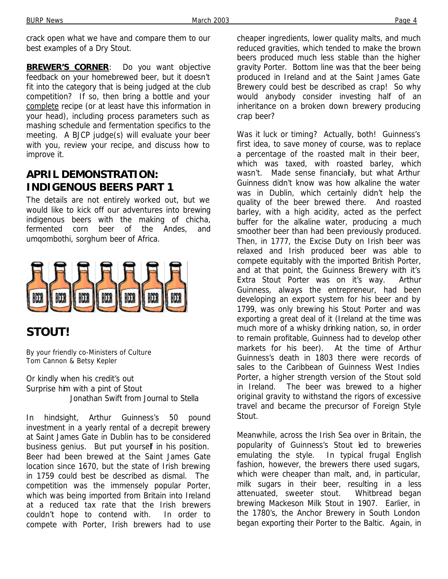crack open what we have and compare them to our best examples of a Dry Stout.

**BREWER'S CORNER:** Do you want objective feedback on your homebrewed beer, but it doesn't fit into the category that is being judged at the club competition? If so, then bring a bottle and your complete recipe (or at least have this information in your head), including process parameters such as mashing schedule and fermentation specifics to the meeting. A BJCP judge(s) will evaluate your beer with you, review your recipe, and discuss how to improve it.

# **APRIL DEMONSTRATION: INDIGENOUS BEERS PART 1**

The details are not entirely worked out, but we would like to kick off our adventures into brewing indigenous beers with the making of chicha, fermented corn beer of the Andes, and umqombothi, sorghum beer of Africa.



# **STOUT!**

*By your friendly co-Ministers of Culture Tom Cannon & Betsy Kepler*

Or kindly when his credit's out Surprise him with a pint of Stout Jonathan Swift from *Journal to Stella*

In hindsight, Arthur Guinness's 50 pound investment in a yearly rental of a decrepit brewery at Saint James Gate in Dublin has to be considered business genius. But put yourself in his position. Beer had been brewed at the Saint James Gate location since 1670, but the state of Irish brewing in 1759 could best be described as dismal. The competition was the immensely popular Porter, which was being imported from Britain into Ireland at a reduced tax rate that the Irish brewers couldn't hope to contend with. In order to compete with Porter, Irish brewers had to use cheaper ingredients, lower quality malts, and much reduced gravities, which tended to make the brown beers produced much less stable than the higher gravity Porter. Bottom line was that the beer being produced in Ireland and at the Saint James Gate Brewery could best be described as crap! So why would anybody consider investing half of an inheritance on a broken down brewery producing crap beer?

Was it luck or timing? Actually, both! Guinness's first idea, to save money of course, was to replace a percentage of the roasted malt in their beer, which was taxed, with roasted barley, which wasn't. Made sense financially, but what Arthur Guinness didn't know was how alkaline the water was in Dublin, which certainly didn't help the quality of the beer brewed there. And roasted barley, with a high acidity, acted as the perfect buffer for the alkaline water, producing a much smoother beer than had been previously produced. Then, in 1777, the Excise Duty on Irish beer was relaxed and Irish produced beer was able to compete equitably with the imported British Porter, and at that point, the Guinness Brewery with it's Extra Stout Porter was on it's way. Arthur Guinness, always the entrepreneur, had been developing an export system for his beer and by 1799, was only brewing his Stout Porter and was exporting a great deal of it (Ireland at the time was much more of a whisky drinking nation, so, in order to remain profitable, Guinness had to develop other markets for his beer). At the time of Arthur Guinness's death in 1803 there were records of sales to the Caribbean of Guinness West Indies Porter, a higher strength version of the Stout sold in Ireland. The beer was brewed to a higher original gravity to withstand the rigors of excessive travel and became the precursor of Foreign Style Stout.

Meanwhile, across the Irish Sea over in Britain, the popularity of Guinness's Stout led to breweries emulating the style. In typical frugal English fashion, however, the brewers there used sugars, which were cheaper than malt, and, in particular, milk sugars in their beer, resulting in a less attenuated, sweeter stout. Whitbread began brewing Mackeson Milk Stout in 1907. Earlier, in the 1780's, the Anchor Brewery in South London began exporting their Porter to the Baltic. Again, in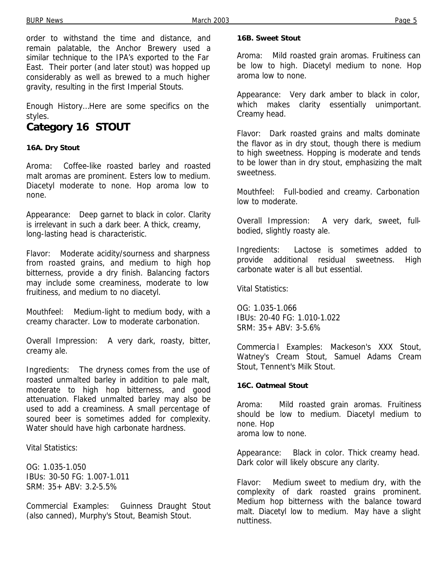order to withstand the time and distance, and remain palatable, the Anchor Brewery used a similar technique to the IPA's exported to the Far East. Their porter (and later stout) was hopped up considerably as well as brewed to a much higher gravity, resulting in the first Imperial Stouts.

Enough History…Here are some specifics on the styles.

# **Category 16 STOUT**

#### **16A. Dry Stout**

Aroma: Coffee-like roasted barley and roasted malt aromas are prominent. Esters low to medium. Diacetyl moderate to none. Hop aroma low to none.

Appearance: Deep garnet to black in color. Clarity is irrelevant in such a dark beer. A thick, creamy, long-lasting head is characteristic.

Flavor: Moderate acidity/sourness and sharpness from roasted grains, and medium to high hop bitterness, provide a dry finish. Balancing factors may include some creaminess, moderate to low fruitiness, and medium to no diacetyl.

Mouthfeel: Medium-light to medium body, with a creamy character. Low to moderate carbonation.

Overall Impression: A very dark, roasty, bitter, creamy ale.

Ingredients: The dryness comes from the use of roasted unmalted barley in addition to pale malt, moderate to high hop bitterness, and good attenuation. Flaked unmalted barley may also be used to add a creaminess. A small percentage of soured beer is sometimes added for complexity. Water should have high carbonate hardness.

Vital Statistics:

OG: 1.035-1.050 IBUs: 30-50 FG: 1.007-1.011 SRM: 35+ ABV: 3.2-5.5%

Commercial Examples: Guinness Draught Stout (also canned), Murphy's Stout, Beamish Stout.

#### **16B. Sweet Stout**

Aroma: Mild roasted grain aromas. Fruitiness can be low to high. Diacetyl medium to none. Hop aroma low to none.

Appearance: Very dark amber to black in color, which makes clarity essentially unimportant. Creamy head.

Flavor: Dark roasted grains and malts dominate the flavor as in dry stout, though there is medium to high sweetness. Hopping is moderate and tends to be lower than in dry stout, emphasizing the malt sweetness.

Mouthfeel: Full-bodied and creamy. Carbonation low to moderate.

Overall Impression: A very dark, sweet, fullbodied, slightly roasty ale.

Ingredients: Lactose is sometimes added to provide additional residual sweetness. High carbonate water is all but essential.

Vital Statistics:

OG: 1.035-1.066 IBUs: 20-40 FG: 1.010-1.022 SRM: 35+ ABV: 3-5.6%

Commercia l Examples: Mackeson's XXX Stout, Watney's Cream Stout, Samuel Adams Cream Stout, Tennent's Milk Stout.

#### **16C. Oatmeal Stout**

Aroma: Mild roasted grain aromas. Fruitiness should be low to medium. Diacetyl medium to none. Hop aroma low to none.

Appearance: Black in color. Thick creamy head. Dark color will likely obscure any clarity.

Flavor: Medium sweet to medium dry, with the complexity of dark roasted grains prominent. Medium hop bitterness with the balance toward malt. Diacetyl low to medium. May have a slight nuttiness.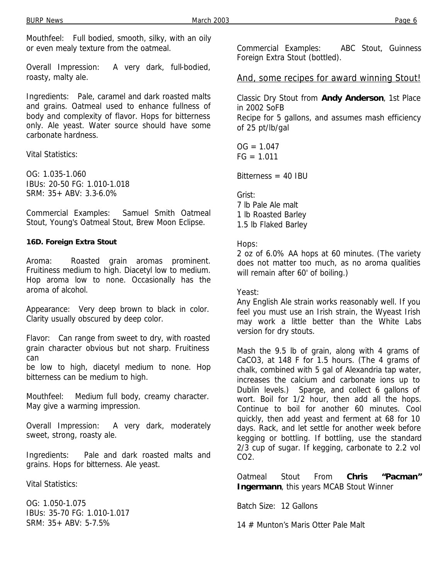Mouthfeel: Full bodied, smooth, silky, with an oily or even mealy texture from the oatmeal.

Overall Impression: A very dark, full-bodied, roasty, malty ale.

Ingredients: Pale, caramel and dark roasted malts and grains. Oatmeal used to enhance fullness of body and complexity of flavor. Hops for bitterness only. Ale yeast. Water source should have some carbonate hardness.

Vital Statistics:

OG: 1.035-1.060 IBUs: 20-50 FG: 1.010-1.018 SRM: 35+ ABV: 3.3-6.0%

Commercial Examples: Samuel Smith Oatmeal Stout, Young's Oatmeal Stout, Brew Moon Eclipse.

#### **16D. Foreign Extra Stout**

Aroma: Roasted grain aromas prominent. Fruitiness medium to high. Diacetyl low to medium. Hop aroma low to none. Occasionally has the aroma of alcohol.

Appearance: Very deep brown to black in color. Clarity usually obscured by deep color.

Flavor: Can range from sweet to dry, with roasted grain character obvious but not sharp. Fruitiness can

be low to high, diacetyl medium to none. Hop bitterness can be medium to high.

Mouthfeel: Medium full body, creamy character. May give a warming impression.

Overall Impression: A very dark, moderately sweet, strong, roasty ale.

Ingredients: Pale and dark roasted malts and grains. Hops for bitterness. Ale yeast.

Vital Statistics:

OG: 1.050-1.075 IBUs: 35-70 FG: 1.010-1.017 SRM: 35+ ABV: 5-7.5%

Commercial Examples: ABC Stout, Guinness Foreign Extra Stout (bottled).

And, some recipes for award winning Stout!

Classic Dry Stout from **Andy Anderson**, 1st Place in 2002 SoFB Recipe for 5 gallons, and assumes mash efficiency of 25 pt/lb/gal

 $OG = 1.047$  $FG = 1.011$ 

 $Bitterness = 40$  IBU

Grist:

7 lb Pale Ale malt 1 lb Roasted Barley 1.5 lb Flaked Barley

#### Hops:

2 oz of 6.0% AA hops at 60 minutes. (The variety does not matter too much, as no aroma qualities will remain after 60' of boiling.)

Yeast:

Any English Ale strain works reasonably well. If you feel you must use an Irish strain, the Wyeast Irish may work a little better than the White Labs version for dry stouts.

Mash the 9.5 lb of grain, along with 4 grams of CaCO3, at 148 F for 1.5 hours. (The 4 grams of chalk, combined with 5 gal of Alexandria tap water, increases the calcium and carbonate ions up to Dublin levels.) Sparge, and collect 6 gallons of wort. Boil for 1/2 hour, then add all the hops. Continue to boil for another 60 minutes. Cool quickly, then add yeast and ferment at 68 for 10 days. Rack, and let settle for another week before kegging or bottling. If bottling, use the standard 2/3 cup of sugar. If kegging, carbonate to 2.2 vol CO<sub>2</sub>

Oatmeal Stout From **Chris "Pacman" Ingermann**, this years MCAB Stout Winner

Batch Size: 12 Gallons

14 # Munton's Maris Otter Pale Malt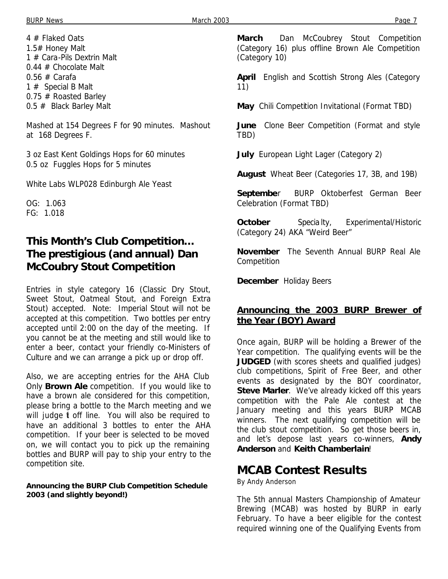4 # Flaked Oats 1.5# Honey Malt 1 # Cara-Pils Dextrin Malt 0.44 # Chocolate Malt  $0.56 \#$  Carafa 1 # Special B Malt 0.75 # Roasted Barley 0.5 # Black Barley Malt

Mashed at 154 Degrees F for 90 minutes. Mashout at 168 Degrees F.

3 oz East Kent Goldings Hops for 60 minutes 0.5 oz Fuggles Hops for 5 minutes

White Labs WLP028 Edinburgh Ale Yeast

OG: 1.063 FG: 1.018

### **This Month's Club Competition… The prestigious (and annual) Dan McCoubry Stout Competition**

Entries in style category 16 (Classic Dry Stout, Sweet Stout, Oatmeal Stout, and Foreign Extra Stout) accepted. Note: Imperial Stout will not be accepted at this competition. Two bottles per entry accepted until 2:00 on the day of the meeting. If you cannot be at the meeting and still would like to enter a beer, contact your friendly co-Ministers of Culture and we can arrange a pick up or drop off.

Also, we are accepting entries for the AHA Club Only **Brown Ale** competition. If you would like to have a brown ale considered for this competition, please bring a bottle to the March meeting and we will judge t off line. You will also be required to have an additional 3 bottles to enter the AHA competition. If your beer is selected to be moved on, we will contact you to pick up the remaining bottles and BURP will pay to ship your entry to the competition site.

#### **Announcing the BURP Club Competition Schedule 2003 (and slightly beyond!)**

**March** Dan McCoubrey Stout Competition (Category 16) plus offline Brown Ale Competition (Category 10)

**April** English and Scottish Strong Ales (Category 11)

**May** Chili Competition Invitational (Format TBD)

**June** Clone Beer Competition (Format and style TBD)

**July** European Light Lager (Category 2)

**August** Wheat Beer (Categories 17, 3B, and 19B)

**Septembe**r BURP Oktoberfest German Beer Celebration (Format TBD)

**October** Specialty, Experimental/Historic (Category 24) AKA "Weird Beer"

**November** The Seventh Annual BURP Real Ale **Competition** 

**December** Holiday Beers

#### **Announcing the 2003 BURP Brewer of the Year (BOY) Award**

Once again, BURP will be holding a Brewer of the Year competition. The qualifying events will be the **JUDGED** (with scores sheets and qualified judges) club competitions, Spirit of Free Beer, and other events as designated by the BOY coordinator, **Steve Marler**. We've already kicked off this years competition with the Pale Ale contest at the January meeting and this years BURP MCAB winners. The next qualifying competition will be the club stout competition. So get those beers in, and let's depose last years co-winners, **Andy Anderson** and **Keith Chamberlain**!

# **MCAB Contest Results**

*By Andy Anderson*

The 5th annual Masters Championship of Amateur Brewing (MCAB) was hosted by BURP in early February. To have a beer eligible for the contest required winning one of the Qualifying Events from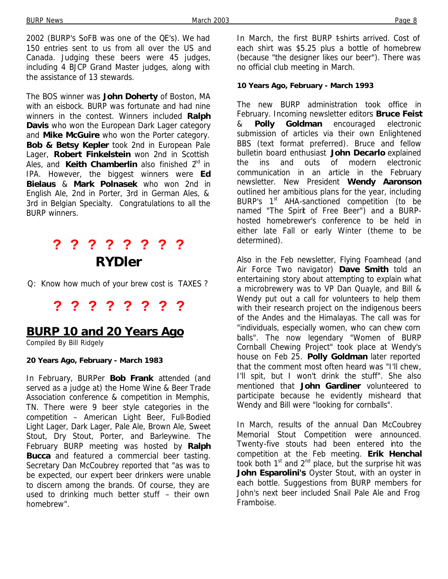2002 (BURP's SoFB was one of the QE's). We had 150 entries sent to us from all over the US and Canada. Judging these beers were 45 judges, including 4 BJCP Grand Master judges, along with the assistance of 13 stewards.

The BOS winner was **John Doherty** of Boston, MA with an eisbock. BURP was fortunate and had nine winners in the contest. Winners included **Ralph Davis** who won the European Dark Lager category and **Mike McGuire** who won the Porter category. **Bob & Betsy Kepler** took 2nd in European Pale Lager, **Robert Finkelstein** won 2nd in Scottish Ales, and Keith Chamberlin also finished 2<sup>nd</sup> in IPA. However, the biggest winners were **Ed Bielaus** & **Mark Polnasek** who won 2nd in English Ale, 2nd in Porter, 3rd in German Ales, & 3rd in Belgian Specialty. Congratulations to all the BURP winners.

# **? ? ? ? ? ? ? ?**  *RYDler*

Q: Know how much of your brew cost is TAXES ?

# **? ? ? ? ? ? ? ?**

### **BURP 10 and 20 Years Ago**

*Compiled By Bill Ridgely*

#### **20 Years Ago, February - March 1983**

In February, BURPer **Bob Frank** attended (and served as a judge at) the Home Wine & Beer Trade Association conference & competition in Memphis, TN. There were 9 beer style categories in the competition – American Light Beer, Full-Bodied Light Lager, Dark Lager, Pale Ale, Brown Ale, Sweet Stout, Dry Stout, Porter, and Barleywine. The February BURP meeting was hosted by **Ralph Bucca** and featured a commercial beer tasting. Secretary Dan McCoubrey reported that "as was to be expected, our expert beer drinkers were unable to discern among the brands. Of course, they are used to drinking much better stuff – their own homebrew".

In March, the first BURP t-shirts arrived. Cost of each shirt was \$5.25 plus a bottle of homebrew (because "the designer likes our beer"). There was no official club meeting in March.

#### **10 Years Ago, February - March 1993**

The new BURP administration took office in February. Incoming newsletter editors **Bruce Feist** & **Polly Goldman** encouraged electronic submission of articles via their own Enlightened BBS (text format preferred). Bruce and fellow bulletin board enthusiast **John Decarlo** explained the ins and outs of modern electronic communication in an article in the February newsletter. New President **Wendy Aaronson** outlined her ambitious plans for the year, including BURP's 1<sup>st</sup> AHA-sanctioned competition (to be named "The Spirit of Free Beer") and a BURPhosted homebrewer's conference to be held in either late Fall or early Winter (theme to be determined).

Also in the Feb newsletter, Flying Foamhead (and Air Force Two navigator) **Dave Smith** told an entertaining story about attempting to explain what a microbrewery was to VP Dan Quayle, and Bill & Wendy put out a call for volunteers to help them with their research project on the indigenous beers of the Andes and the Himalayas. The call was for "individuals, especially women, who can chew corn balls". The now legendary "Women of BURP Cornball Chewing Project" took place at Wendy's house on Feb 25. **Polly Goldman** later reported that the comment most often heard was "I'll chew, I'll spit, but I won't drink the stuff". She also mentioned that **John Gardiner** volunteered to participate because he evidently misheard that Wendy and Bill were "looking for cornballs".

In March, results of the annual Dan McCoubrey Memorial Stout Competition were announced. Twenty-five stouts had been entered into the competition at the Feb meeting. **Erik Henchal** took both  $1<sup>st</sup>$  and  $2<sup>nd</sup>$  place, but the surprise hit was **John Esparolini's** Oyster Stout, with an oyster in each bottle. Suggestions from BURP members for John's next beer included Snail Pale Ale and Frog Framboise.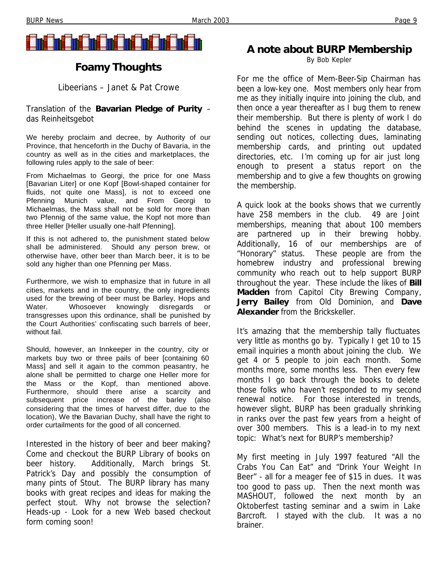

# **Foamy Thoughts**

*Libeerians – Janet & Pat Crowe*

#### Translation of the **Bavarian Pledge of Purity** – *das Reinheitsgebot*

We hereby proclaim and decree, by Authority of our Province, that henceforth in the Duchy of Bavaria, in the country as well as in the cities and marketplaces, the following rules apply to the sale of beer:

From Michaelmas to Georgi, the price for one Mass [Bavarian Liter] or one Kopf [Bowl-shaped container for fluids, not quite one Mass], is not to exceed one Pfenning Munich value, and From Georgi to Michaelmas, the Mass shall not be sold for more than two Pfennig of the same value, the Kopf not more than three Heller [Heller usually one-half Pfenning].

If this is not adhered to, the punishment stated below shall be administered. Should any person brew, or otherwise have, other beer than March beer, it is to be sold any higher than one Pfenning per Mass.

Furthermore, we wish to emphasize that in future in all cities, markets and in the country, the only ingredients used for the brewing of beer must be Barley, Hops and Water. Whosoever knowingly disregards or transgresses upon this ordinance, shall be punished by the Court Authorities' confiscating such barrels of beer, without fail.

Should, however, an Innkeeper in the country, city or markets buy two or three pails of beer [containing 60 Mass] and sell it again to the common peasantry, he alone shall be permitted to charge one Heller more for the Mass or the Kopf, than mentioned above. Furthermore, should there arise a scarcity and subsequent price increase of the barley (also considering that the times of harvest differ, due to the location), We the Bavarian Duchy, shall have the right to order curtailments for the good of all concerned.

Interested in the history of beer and beer making? Come and checkout the BURP Library of books on beer history. Additionally, March brings St. Patrick's Day and possibly the consumption of many pints of Stout. The BURP library has many books with great recipes and ideas for making the perfect stout. Why not browse the selection? Heads-up - Look for a new Web based checkout form coming soon!

### **A note about BURP Membership**

*By Bob Kepler*

For me the office of Mem-Beer-Sip Chairman has been a low-key one. Most members only hear from me as they initially inquire into joining the club, and then once a year thereafter as I bug them to renew their membership. But there is plenty of work I do behind the scenes in updating the database, sending out notices, collecting dues, laminating membership cards, and printing out updated directories, etc. I'm coming up for air just long enough to present a status report on the membership and to give a few thoughts on growing the membership.

A quick look at the books shows that we currently have 258 members in the club. 49 are Joint memberships, meaning that about 100 members are partnered up in their brewing hobby. Additionally, 16 of our memberships are of "Honorary" status. These people are from the homebrew industry and professional brewing community who reach out to help support BURP throughout the year. These include the likes of **Bill Madden** from Capitol City Brewing Company, **Jerry Bailey** from Old Dominion, and **Dave Alexander** from the Brickskeller.

It's amazing that the membership tally fluctuates very little as months go by. Typically I get 10 to 15 email inquiries a month about joining the club. We get 4 or 5 people to join each month. Some months more, some months less. Then every few months I go back through the books to delete those folks who haven't responded to my second renewal notice. For those interested in trends, however slight, BURP has been gradually shrinking in ranks over the past few years from a height of over 300 members. This is a lead-in to my next topic: What's next for BURP's membership?

My first meeting in July 1997 featured "All the Crabs You Can Eat" and "Drink Your Weight In Beer" - all for a meager fee of \$15 in dues. It was too good to pass up. Then the next month was MASHOUT, followed the next month by an Oktoberfest tasting seminar and a swim in Lake Barcroft. I stayed with the club. It was a no brainer.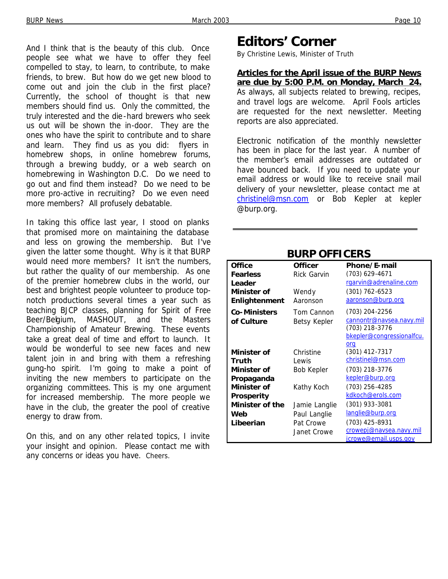And I think that is the beauty of this club. Once people see what we have to offer they feel compelled to stay, to learn, to contribute, to make friends, to brew. But how do we get new blood to come out and join the club in the first place? Currently, the school of thought is that new members should find us. Only the committed, the truly interested and the die-hard brewers who seek us out will be shown the in-door. They are the ones who have the spirit to contribute and to share and learn. They find us as you did: flyers in homebrew shops, in online homebrew forums, through a brewing buddy, or a web search on homebrewing in Washington D.C. Do we need to go out and find them instead? Do we need to be more pro-active in recruiting? Do we even need more members? All profusely debatable.

In taking this office last year, I stood on planks that promised more on maintaining the database and less on growing the membership. But I've given the latter some thought. Why is it that BURP would need more members? It isn't the numbers, but rather the quality of our membership. As one of the premier homebrew clubs in the world, our best and brightest people volunteer to produce topnotch productions several times a year such as teaching BJCP classes, planning for Spirit of Free Beer/Belgium, MASHOUT, and the Masters Championship of Amateur Brewing. These events take a great deal of time and effort to launch. It would be wonderful to see new faces and new talent join in and bring with them a refreshing gung-ho spirit. I'm going to make a point of inviting the new members to participate on the organizing committees. This is my one argument for increased membership. The more people we have in the club, the greater the pool of creative energy to draw from.

On this, and on any other related topics, I invite your insight and opinion. Please contact me with any concerns or ideas you have. Cheers.

# **Editors' Corner**

*By Christine Lewis, Minister of Truth*

**Articles for the April issue of the** *BURP News* **are due by 5:00 P.M. on Monday, March 24.** As always, all subjects related to brewing, recipes, and travel logs are welcome. April Fools articles are requested for the next newsletter. Meeting reports are also appreciated.

Electronic notification of the monthly newsletter has been in place for the last year. A number of the member's email addresses are outdated or have bounced back. If you need to update your email address or would like to receive snail mail delivery of your newsletter, please contact me at christinel@msn.com or Bob Kepler at kepler @burp.org.

| <b>Office</b>          | <b>Officer</b>     | Phone/E-mail              |
|------------------------|--------------------|---------------------------|
| <b>Fearless</b>        | <b>Rick Garvin</b> | (703) 629-4671            |
| Leader                 |                    | rgarvin@adrenaline.com    |
| Minister of            | Wendy              | (301) 762-6523            |
| <b>Enlightenment</b>   | Aaronson           | aaronson@burp.org         |
| Co-Ministers           | Tom Cannon         | (703) 204-2256            |
| of Culture             | Betsy Kepler       | cannontr@navsea.navy.mil  |
|                        |                    | (703) 218-3776            |
|                        |                    | bkepler@congressionalfcu. |
|                        |                    | org                       |
| Minister of            | Christine          | (301) 412-7317            |
| Truth                  | Lewis              | christinel@msn.com        |
| Minister of            | <b>Bob Kepler</b>  | (703) 218-3776            |
| Propaganda             |                    | kepler@burp.org           |
| Minister of            | Kathy Koch         | (703) 256-4285            |
| Prosperity             |                    | kdkoch@erols.com          |
| <b>Minister of the</b> | Jamie Langlie      | (301) 933-3081            |
| Web                    | Paul Langlie       | langlie@burp.org          |
| Libeerian              | Pat Crowe          | (703) 425-8931            |
|                        | Janet Crowe        | crowepj@naysea.navy.mil   |
|                        |                    | jcrowe@email.usps.gov     |

### **BURP OFFICERS**